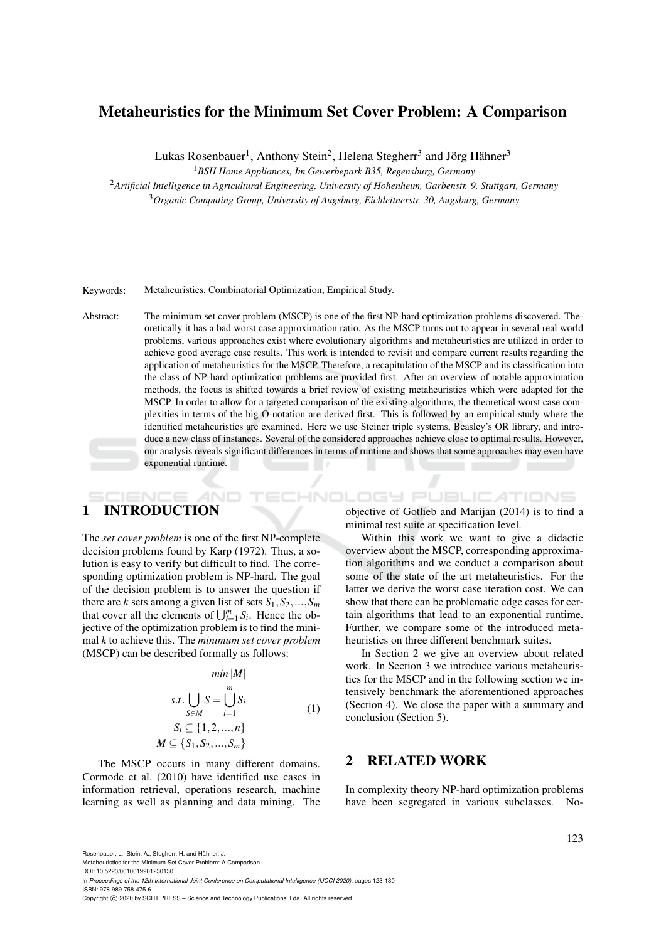# Metaheuristics for the Minimum Set Cover Problem: A Comparison

Lukas Rosenbauer<sup>1</sup>, Anthony Stein<sup>2</sup>, Helena Stegherr<sup>3</sup> and Jörg Hähner<sup>3</sup>

<sup>1</sup>*BSH Home Appliances, Im Gewerbepark B35, Regensburg, Germany*

<sup>2</sup>*Artificial Intelligence in Agricultural Engineering, University of Hohenheim, Garbenstr. 9, Stuttgart, Germany* <sup>3</sup>*Organic Computing Group, University of Augsburg, Eichleitnerstr. 30, Augsburg, Germany*

Keywords: Metaheuristics, Combinatorial Optimization, Empirical Study.

Abstract: The minimum set cover problem (MSCP) is one of the first NP-hard optimization problems discovered. Theoretically it has a bad worst case approximation ratio. As the MSCP turns out to appear in several real world problems, various approaches exist where evolutionary algorithms and metaheuristics are utilized in order to achieve good average case results. This work is intended to revisit and compare current results regarding the application of metaheuristics for the MSCP. Therefore, a recapitulation of the MSCP and its classification into the class of NP-hard optimization problems are provided first. After an overview of notable approximation methods, the focus is shifted towards a brief review of existing metaheuristics which were adapted for the MSCP. In order to allow for a targeted comparison of the existing algorithms, the theoretical worst case complexities in terms of the big O-notation are derived first. This is followed by an empirical study where the identified metaheuristics are examined. Here we use Steiner triple systems, Beasley's OR library, and introduce a new class of instances. Several of the considered approaches achieve close to optimal results. However, our analysis reveals significant differences in terms of runtime and shows that some approaches may even have exponential runtime. . . .

# 1 INTRODUCTION

The *set cover problem* is one of the first NP-complete decision problems found by Karp (1972). Thus, a solution is easy to verify but difficult to find. The corresponding optimization problem is NP-hard. The goal of the decision problem is to answer the question if there are *k* sets among a given list of sets  $S_1, S_2, \ldots, S_m$ that cover all the elements of  $\bigcup_{i=1}^{m} S_i$ . Hence the objective of the optimization problem is to find the minimal *k* to achieve this. The *minimum set cover problem* (MSCP) can be described formally as follows:

$$
min|M|
$$

$$
s.t. \bigcup_{S \in M} S = \bigcup_{i=1}^{m} S_i
$$
  
\n
$$
S_i \subseteq \{1, 2, ..., n\}
$$
  
\n
$$
M \subseteq \{S_1, S_2, ..., S_m\}
$$
  
\n(1)

The MSCP occurs in many different domains. Cormode et al. (2010) have identified use cases in information retrieval, operations research, machine learning as well as planning and data mining. The

objective of Gotlieb and Marijan (2014) is to find a minimal test suite at specification level.

HNOLOGY PUBLICATIONS

Within this work we want to give a didactic overview about the MSCP, corresponding approximation algorithms and we conduct a comparison about some of the state of the art metaheuristics. For the latter we derive the worst case iteration cost. We can show that there can be problematic edge cases for certain algorithms that lead to an exponential runtime. Further, we compare some of the introduced metaheuristics on three different benchmark suites.

In Section 2 we give an overview about related work. In Section 3 we introduce various metaheuristics for the MSCP and in the following section we intensively benchmark the aforementioned approaches (Section 4). We close the paper with a summary and conclusion (Section 5).

## 2 RELATED WORK

In complexity theory NP-hard optimization problems have been segregated in various subclasses. No-

Rosenbauer, L., Stein, A., Stegherr, H. and Hähner, J.

Metaheuristics for the Minimum Set Cover Problem: A Comparison. DOI: 10.5220/0010019901230130

In *Proceedings of the 12th International Joint Conference on Computational Intelligence (IJCCI 2020)*, pages 123-130 ISBN: 978-989-758-475-6

Copyright © 2020 by SCITEPRESS - Science and Technology Publications, Lda. All rights reserved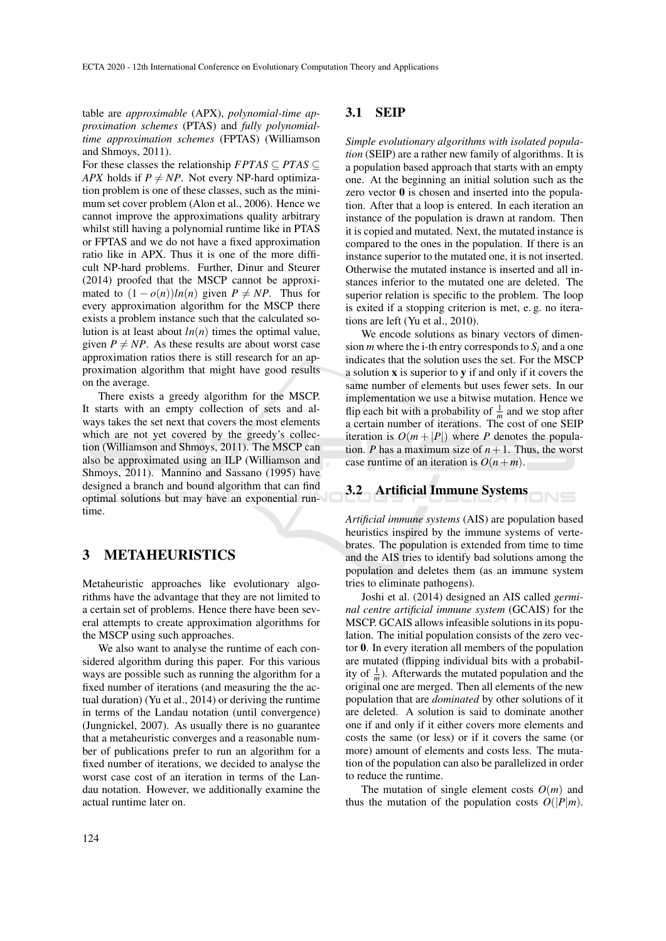table are *approximable* (APX), *polynomial-time approximation schemes* (PTAS) and *fully polynomialtime approximation schemes* (FPTAS) (Williamson and Shmoys, 2011).

For these classes the relationship  $FPTAS \subseteq PTAS \subseteq$ *APX* holds if  $P \neq NP$ . Not every NP-hard optimization problem is one of these classes, such as the minimum set cover problem (Alon et al., 2006). Hence we cannot improve the approximations quality arbitrary whilst still having a polynomial runtime like in PTAS or FPTAS and we do not have a fixed approximation ratio like in APX. Thus it is one of the more difficult NP-hard problems. Further, Dinur and Steurer (2014) proofed that the MSCP cannot be approximated to  $(1 - o(n))ln(n)$  given  $P \neq NP$ . Thus for every approximation algorithm for the MSCP there exists a problem instance such that the calculated solution is at least about  $ln(n)$  times the optimal value, given  $P \neq NP$ . As these results are about worst case approximation ratios there is still research for an approximation algorithm that might have good results on the average.

There exists a greedy algorithm for the MSCP. It starts with an empty collection of sets and always takes the set next that covers the most elements which are not yet covered by the greedy's collection (Williamson and Shmoys, 2011). The MSCP can also be approximated using an ILP (Williamson and Shmoys, 2011). Mannino and Sassano (1995) have designed a branch and bound algorithm that can find optimal solutions but may have an exponential runtime.

### 3 METAHEURISTICS

Metaheuristic approaches like evolutionary algorithms have the advantage that they are not limited to a certain set of problems. Hence there have been several attempts to create approximation algorithms for the MSCP using such approaches.

We also want to analyse the runtime of each considered algorithm during this paper. For this various ways are possible such as running the algorithm for a fixed number of iterations (and measuring the the actual duration) (Yu et al., 2014) or deriving the runtime in terms of the Landau notation (until convergence) (Jungnickel, 2007). As usually there is no guarantee that a metaheuristic converges and a reasonable number of publications prefer to run an algorithm for a fixed number of iterations, we decided to analyse the worst case cost of an iteration in terms of the Landau notation. However, we additionally examine the actual runtime later on.

#### 3.1 SEIP

*Simple evolutionary algorithms with isolated population* (SEIP) are a rather new family of algorithms. It is a population based approach that starts with an empty one. At the beginning an initial solution such as the zero vector 0 is chosen and inserted into the population. After that a loop is entered. In each iteration an instance of the population is drawn at random. Then it is copied and mutated. Next, the mutated instance is compared to the ones in the population. If there is an instance superior to the mutated one, it is not inserted. Otherwise the mutated instance is inserted and all instances inferior to the mutated one are deleted. The superior relation is specific to the problem. The loop is exited if a stopping criterion is met, e. g. no iterations are left (Yu et al., 2010).

We encode solutions as binary vectors of dimension *m* where the i-th entry corresponds to  $S_i$  and a one indicates that the solution uses the set. For the MSCP a solution x is superior to y if and only if it covers the same number of elements but uses fewer sets. In our implementation we use a bitwise mutation. Hence we flip each bit with a probability of  $\frac{1}{m}$  and we stop after a certain number of iterations. The cost of one SEIP iteration is  $O(m + |P|)$  where *P* denotes the population. *P* has a maximum size of  $n + 1$ . Thus, the worst case runtime of an iteration is  $O(n+m)$ .

#### 3.2 Artificial Immune Systems  $N =$

*Artificial immune systems* (AIS) are population based heuristics inspired by the immune systems of vertebrates. The population is extended from time to time and the AIS tries to identify bad solutions among the population and deletes them (as an immune system tries to eliminate pathogens).

Joshi et al. (2014) designed an AIS called *germinal centre artificial immune system* (GCAIS) for the MSCP. GCAIS allows infeasible solutions in its population. The initial population consists of the zero vector 0. In every iteration all members of the population are mutated (flipping individual bits with a probability of  $\frac{1}{m}$ ). Afterwards the mutated population and the original one are merged. Then all elements of the new population that are *dominated* by other solutions of it are deleted. A solution is said to dominate another one if and only if it either covers more elements and costs the same (or less) or if it covers the same (or more) amount of elements and costs less. The mutation of the population can also be parallelized in order to reduce the runtime.

The mutation of single element costs  $O(m)$  and thus the mutation of the population costs  $O(|P|m)$ .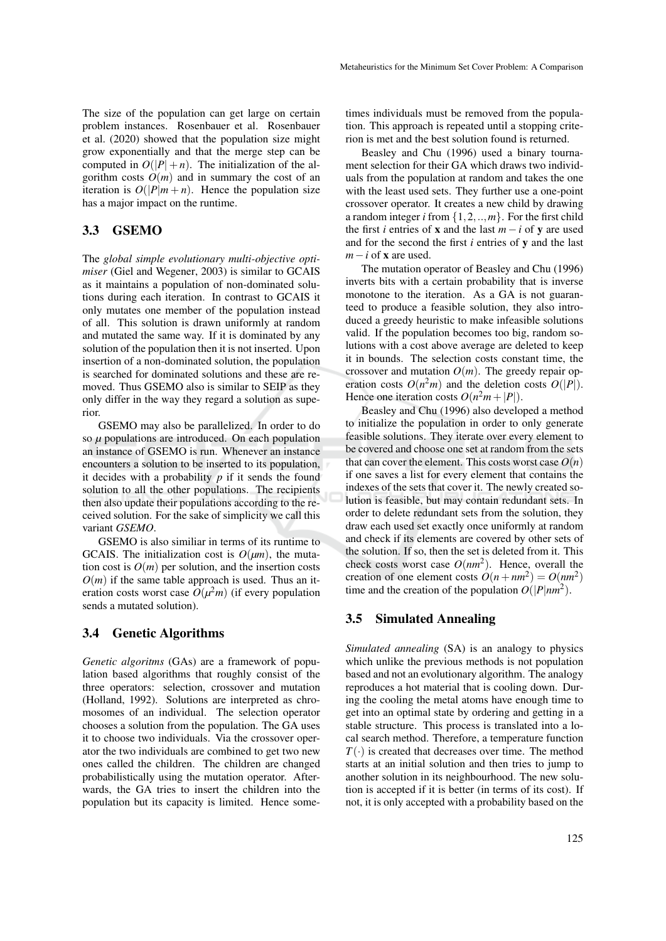The size of the population can get large on certain problem instances. Rosenbauer et al. Rosenbauer et al. (2020) showed that the population size might grow exponentially and that the merge step can be computed in  $O(|P| + n)$ . The initialization of the algorithm costs  $O(m)$  and in summary the cost of an iteration is  $O(|P|m + n)$ . Hence the population size has a major impact on the runtime.

### 3.3 GSEMO

The *global simple evolutionary multi-objective optimiser* (Giel and Wegener, 2003) is similar to GCAIS as it maintains a population of non-dominated solutions during each iteration. In contrast to GCAIS it only mutates one member of the population instead of all. This solution is drawn uniformly at random and mutated the same way. If it is dominated by any solution of the population then it is not inserted. Upon insertion of a non-dominated solution, the population is searched for dominated solutions and these are removed. Thus GSEMO also is similar to SEIP as they only differ in the way they regard a solution as superior.

GSEMO may also be parallelized. In order to do so *µ* populations are introduced. On each population an instance of GSEMO is run. Whenever an instance encounters a solution to be inserted to its population, it decides with a probability  $p$  if it sends the found solution to all the other populations. The recipients then also update their populations according to the received solution. For the sake of simplicity we call this variant *GSEMO*.

GSEMO is also similiar in terms of its runtime to GCAIS. The initialization cost is  $O(\mu m)$ , the mutation cost is  $O(m)$  per solution, and the insertion costs  $O(m)$  if the same table approach is used. Thus an iteration costs worst case  $O(\mu^2 m)$  (if every population sends a mutated solution).

### 3.4 Genetic Algorithms

*Genetic algoritms* (GAs) are a framework of population based algorithms that roughly consist of the three operators: selection, crossover and mutation (Holland, 1992). Solutions are interpreted as chromosomes of an individual. The selection operator chooses a solution from the population. The GA uses it to choose two individuals. Via the crossover operator the two individuals are combined to get two new ones called the children. The children are changed probabilistically using the mutation operator. Afterwards, the GA tries to insert the children into the population but its capacity is limited. Hence some-

times individuals must be removed from the population. This approach is repeated until a stopping criterion is met and the best solution found is returned.

Beasley and Chu (1996) used a binary tournament selection for their GA which draws two individuals from the population at random and takes the one with the least used sets. They further use a one-point crossover operator. It creates a new child by drawing a random integer *i* from  $\{1, 2, \ldots, m\}$ . For the first child the first *i* entries of **x** and the last  $m - i$  of **v** are used and for the second the first *i* entries of y and the last *m*−*i* of **x** are used.

The mutation operator of Beasley and Chu (1996) inverts bits with a certain probability that is inverse monotone to the iteration. As a GA is not guaranteed to produce a feasible solution, they also introduced a greedy heuristic to make infeasible solutions valid. If the population becomes too big, random solutions with a cost above average are deleted to keep it in bounds. The selection costs constant time, the crossover and mutation  $O(m)$ . The greedy repair operation costs  $O(n^2m)$  and the deletion costs  $O(|P|)$ . Hence one iteration costs  $O(n^2m + |P|)$ .

Beasley and Chu (1996) also developed a method to initialize the population in order to only generate feasible solutions. They iterate over every element to be covered and choose one set at random from the sets that can cover the element. This costs worst case  $O(n)$ if one saves a list for every element that contains the indexes of the sets that cover it. The newly created solution is feasible, but may contain redundant sets. In order to delete redundant sets from the solution, they draw each used set exactly once uniformly at random and check if its elements are covered by other sets of the solution. If so, then the set is deleted from it. This check costs worst case  $O(nm^2)$ . Hence, overall the creation of one element costs  $O(n + nm^2) = O(nm^2)$ time and the creation of the population  $O(|P|nm^2)$ .

### 3.5 Simulated Annealing

*Simulated annealing* (SA) is an analogy to physics which unlike the previous methods is not population based and not an evolutionary algorithm. The analogy reproduces a hot material that is cooling down. During the cooling the metal atoms have enough time to get into an optimal state by ordering and getting in a stable structure. This process is translated into a local search method. Therefore, a temperature function  $T(\cdot)$  is created that decreases over time. The method starts at an initial solution and then tries to jump to another solution in its neighbourhood. The new solution is accepted if it is better (in terms of its cost). If not, it is only accepted with a probability based on the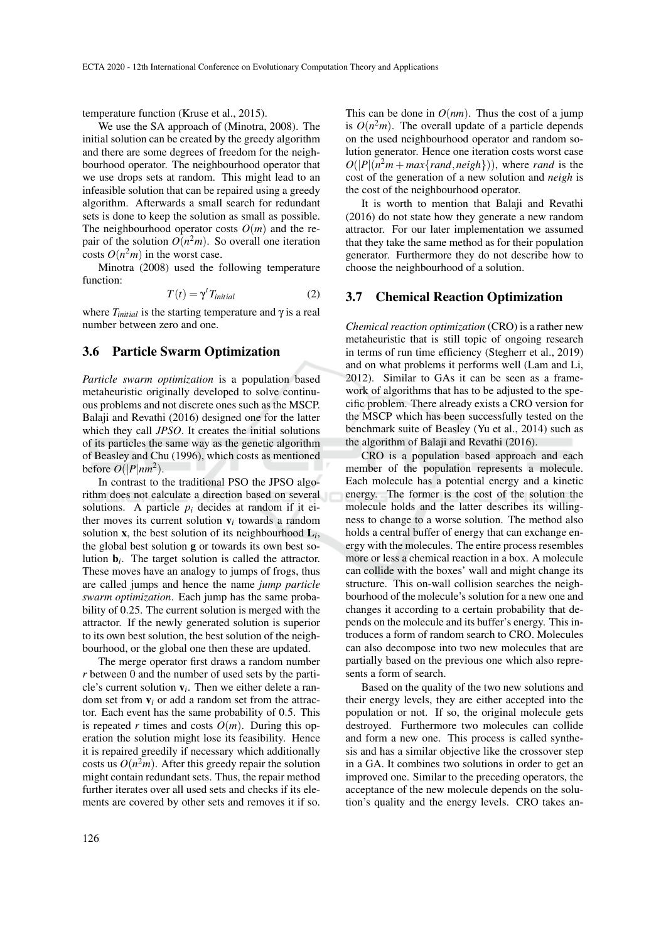temperature function (Kruse et al., 2015).

We use the SA approach of (Minotra, 2008). The initial solution can be created by the greedy algorithm and there are some degrees of freedom for the neighbourhood operator. The neighbourhood operator that we use drops sets at random. This might lead to an infeasible solution that can be repaired using a greedy algorithm. Afterwards a small search for redundant sets is done to keep the solution as small as possible. The neighbourhood operator costs  $O(m)$  and the repair of the solution  $O(n^2m)$ . So overall one iteration costs  $O(n^2m)$  in the worst case.

Minotra (2008) used the following temperature function:

$$
T(t) = \gamma^t T_{initial} \tag{2}
$$

where  $T_{initial}$  is the starting temperature and  $\gamma$  is a real number between zero and one.

#### 3.6 Particle Swarm Optimization

*Particle swarm optimization* is a population based metaheuristic originally developed to solve continuous problems and not discrete ones such as the MSCP. Balaji and Revathi (2016) designed one for the latter which they call *JPSO*. It creates the initial solutions of its particles the same way as the genetic algorithm of Beasley and Chu (1996), which costs as mentioned before  $O(|P|nm^2)$ .

In contrast to the traditional PSO the JPSO algorithm does not calculate a direction based on several solutions. A particle  $p_i$  decides at random if it either moves its current solution  $v_i$  towards a random solution x, the best solution of its neighbourhood L*<sup>i</sup>* , the global best solution g or towards its own best solution b*<sup>i</sup>* . The target solution is called the attractor. These moves have an analogy to jumps of frogs, thus are called jumps and hence the name *jump particle swarm optimization*. Each jump has the same probability of 0.25. The current solution is merged with the attractor. If the newly generated solution is superior to its own best solution, the best solution of the neighbourhood, or the global one then these are updated.

The merge operator first draws a random number *r* between 0 and the number of used sets by the particle's current solution  $v_i$ . Then we either delete a random set from  $v_i$  or add a random set from the attractor. Each event has the same probability of 0.5. This is repeated *r* times and costs  $O(m)$ . During this operation the solution might lose its feasibility. Hence it is repaired greedily if necessary which additionally costs us  $O(n^2m)$ . After this greedy repair the solution might contain redundant sets. Thus, the repair method further iterates over all used sets and checks if its elements are covered by other sets and removes it if so. This can be done in  $O(nm)$ . Thus the cost of a jump is  $O(n^2m)$ . The overall update of a particle depends on the used neighbourhood operator and random solution generator. Hence one iteration costs worst case  $O(|P|(n^2m + max\{rand,neigh\}))$ , where *rand* is the cost of the generation of a new solution and *neigh* is the cost of the neighbourhood operator.

It is worth to mention that Balaji and Revathi (2016) do not state how they generate a new random attractor. For our later implementation we assumed that they take the same method as for their population generator. Furthermore they do not describe how to choose the neighbourhood of a solution.

#### 3.7 Chemical Reaction Optimization

*Chemical reaction optimization* (CRO) is a rather new metaheuristic that is still topic of ongoing research in terms of run time efficiency (Stegherr et al., 2019) and on what problems it performs well (Lam and Li, 2012). Similar to GAs it can be seen as a framework of algorithms that has to be adjusted to the specific problem. There already exists a CRO version for the MSCP which has been successfully tested on the benchmark suite of Beasley (Yu et al., 2014) such as the algorithm of Balaji and Revathi (2016).

CRO is a population based approach and each member of the population represents a molecule. Each molecule has a potential energy and a kinetic energy. The former is the cost of the solution the molecule holds and the latter describes its willingness to change to a worse solution. The method also holds a central buffer of energy that can exchange energy with the molecules. The entire process resembles more or less a chemical reaction in a box. A molecule can collide with the boxes' wall and might change its structure. This on-wall collision searches the neighbourhood of the molecule's solution for a new one and changes it according to a certain probability that depends on the molecule and its buffer's energy. This introduces a form of random search to CRO. Molecules can also decompose into two new molecules that are partially based on the previous one which also represents a form of search.

Based on the quality of the two new solutions and their energy levels, they are either accepted into the population or not. If so, the original molecule gets destroyed. Furthermore two molecules can collide and form a new one. This process is called synthesis and has a similar objective like the crossover step in a GA. It combines two solutions in order to get an improved one. Similar to the preceding operators, the acceptance of the new molecule depends on the solution's quality and the energy levels. CRO takes an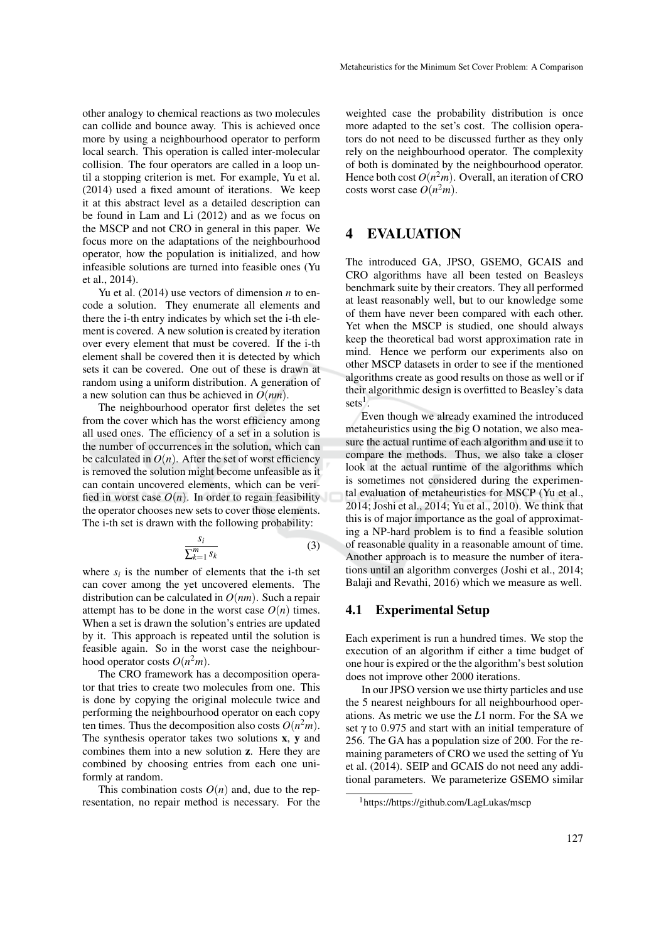other analogy to chemical reactions as two molecules can collide and bounce away. This is achieved once more by using a neighbourhood operator to perform local search. This operation is called inter-molecular collision. The four operators are called in a loop until a stopping criterion is met. For example, Yu et al. (2014) used a fixed amount of iterations. We keep it at this abstract level as a detailed description can be found in Lam and Li (2012) and as we focus on the MSCP and not CRO in general in this paper. We focus more on the adaptations of the neighbourhood operator, how the population is initialized, and how infeasible solutions are turned into feasible ones (Yu et al., 2014).

Yu et al. (2014) use vectors of dimension *n* to encode a solution. They enumerate all elements and there the i-th entry indicates by which set the i-th element is covered. A new solution is created by iteration over every element that must be covered. If the i-th element shall be covered then it is detected by which sets it can be covered. One out of these is drawn at random using a uniform distribution. A generation of a new solution can thus be achieved in *O*(*nm*).

The neighbourhood operator first deletes the set from the cover which has the worst efficiency among all used ones. The efficiency of a set in a solution is the number of occurrences in the solution, which can be calculated in  $O(n)$ . After the set of worst efficiency is removed the solution might become unfeasible as it can contain uncovered elements, which can be verified in worst case  $O(n)$ . In order to regain feasibility the operator chooses new sets to cover those elements. The i-th set is drawn with the following probability:

$$
\frac{s_i}{\sum_{k=1}^m s_k} \tag{3}
$$

where  $s_i$  is the number of elements that the i-th set can cover among the yet uncovered elements. The distribution can be calculated in *O*(*nm*). Such a repair attempt has to be done in the worst case  $O(n)$  times. When a set is drawn the solution's entries are updated by it. This approach is repeated until the solution is feasible again. So in the worst case the neighbourhood operator costs  $O(n^2m)$ .

The CRO framework has a decomposition operator that tries to create two molecules from one. This is done by copying the original molecule twice and performing the neighbourhood operator on each copy ten times. Thus the decomposition also costs  $O(n^2m)$ . The synthesis operator takes two solutions x, y and combines them into a new solution z. Here they are combined by choosing entries from each one uniformly at random.

This combination costs  $O(n)$  and, due to the representation, no repair method is necessary. For the

weighted case the probability distribution is once more adapted to the set's cost. The collision operators do not need to be discussed further as they only rely on the neighbourhood operator. The complexity of both is dominated by the neighbourhood operator. Hence both cost  $O(n^2m)$ . Overall, an iteration of CRO costs worst case  $O(n^2m)$ .

# 4 EVALUATION

The introduced GA, JPSO, GSEMO, GCAIS and CRO algorithms have all been tested on Beasleys benchmark suite by their creators. They all performed at least reasonably well, but to our knowledge some of them have never been compared with each other. Yet when the MSCP is studied, one should always keep the theoretical bad worst approximation rate in mind. Hence we perform our experiments also on other MSCP datasets in order to see if the mentioned algorithms create as good results on those as well or if their algorithmic design is overfitted to Beasley's data  $sets<sup>1</sup>$ .

Even though we already examined the introduced metaheuristics using the big O notation, we also measure the actual runtime of each algorithm and use it to compare the methods. Thus, we also take a closer look at the actual runtime of the algorithms which is sometimes not considered during the experimental evaluation of metaheuristics for MSCP (Yu et al., 2014; Joshi et al., 2014; Yu et al., 2010). We think that this is of major importance as the goal of approximating a NP-hard problem is to find a feasible solution of reasonable quality in a reasonable amount of time. Another approach is to measure the number of iterations until an algorithm converges (Joshi et al., 2014; Balaji and Revathi, 2016) which we measure as well.

#### 4.1 Experimental Setup

Each experiment is run a hundred times. We stop the execution of an algorithm if either a time budget of one hour is expired or the the algorithm's best solution does not improve other 2000 iterations.

In our JPSO version we use thirty particles and use the 5 nearest neighbours for all neighbourhood operations. As metric we use the *L*1 norm. For the SA we set  $\gamma$  to 0.975 and start with an initial temperature of 256. The GA has a population size of 200. For the remaining parameters of CRO we used the setting of Yu et al. (2014). SEIP and GCAIS do not need any additional parameters. We parameterize GSEMO similar

<sup>1</sup>https://https://github.com/LagLukas/mscp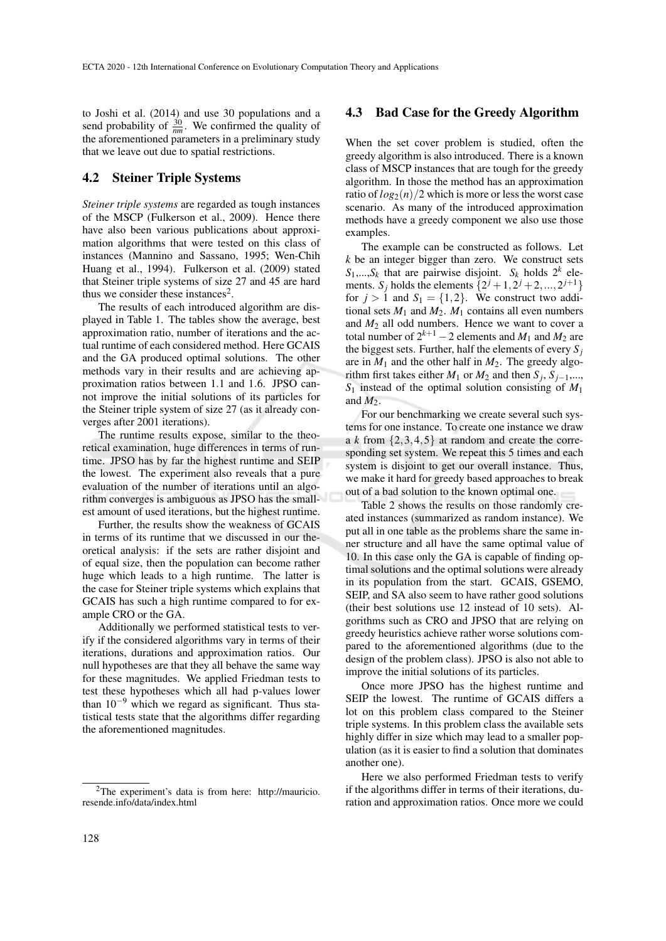to Joshi et al. (2014) and use 30 populations and a send probability of  $\frac{30}{nm}$ . We confirmed the quality of the aforementioned parameters in a preliminary study that we leave out due to spatial restrictions.

### 4.2 Steiner Triple Systems

*Steiner triple systems* are regarded as tough instances of the MSCP (Fulkerson et al., 2009). Hence there have also been various publications about approximation algorithms that were tested on this class of instances (Mannino and Sassano, 1995; Wen-Chih Huang et al., 1994). Fulkerson et al. (2009) stated that Steiner triple systems of size 27 and 45 are hard thus we consider these instances<sup>2</sup>.

The results of each introduced algorithm are displayed in Table 1. The tables show the average, best approximation ratio, number of iterations and the actual runtime of each considered method. Here GCAIS and the GA produced optimal solutions. The other methods vary in their results and are achieving approximation ratios between 1.1 and 1.6. JPSO cannot improve the initial solutions of its particles for the Steiner triple system of size 27 (as it already converges after 2001 iterations).

The runtime results expose, similar to the theoretical examination, huge differences in terms of runtime. JPSO has by far the highest runtime and SEIP the lowest. The experiment also reveals that a pure evaluation of the number of iterations until an algorithm converges is ambiguous as JPSO has the smallest amount of used iterations, but the highest runtime.

Further, the results show the weakness of GCAIS in terms of its runtime that we discussed in our theoretical analysis: if the sets are rather disjoint and of equal size, then the population can become rather huge which leads to a high runtime. The latter is the case for Steiner triple systems which explains that GCAIS has such a high runtime compared to for example CRO or the GA.

Additionally we performed statistical tests to verify if the considered algorithms vary in terms of their iterations, durations and approximation ratios. Our null hypotheses are that they all behave the same way for these magnitudes. We applied Friedman tests to test these hypotheses which all had p-values lower than  $10^{-9}$  which we regard as significant. Thus statistical tests state that the algorithms differ regarding the aforementioned magnitudes.

#### 4.3 Bad Case for the Greedy Algorithm

When the set cover problem is studied, often the greedy algorithm is also introduced. There is a known class of MSCP instances that are tough for the greedy algorithm. In those the method has an approximation ratio of  $log_2(n)/2$  which is more or less the worst case scenario. As many of the introduced approximation methods have a greedy component we also use those examples.

The example can be constructed as follows. Let *k* be an integer bigger than zero. We construct sets  $S_1$ ,..., $S_k$  that are pairwise disjoint.  $S_k$  holds  $2^k$  elements. *S<sub>j</sub>* holds the elements  $\{2^{j} + 1, 2^{j} + 2, ..., 2^{j+1}\}$ for  $j > 1$  and  $S_1 = \{1, 2\}$ . We construct two additional sets  $M_1$  and  $M_2$ .  $M_1$  contains all even numbers and  $M_2$  all odd numbers. Hence we want to cover a total number of  $2^{k+1} - 2$  elements and  $M_1$  and  $M_2$  are the biggest sets. Further, half the elements of every  $S_i$ are in  $M_1$  and the other half in  $M_2$ . The greedy algorithm first takes either  $M_1$  or  $M_2$  and then  $S_j$ ,  $S_{j-1}$ ,..., *S*<sup>1</sup> instead of the optimal solution consisting of *M*<sup>1</sup> and  $M_2$ .

For our benchmarking we create several such systems for one instance. To create one instance we draw a  $k$  from  $\{2,3,4,5\}$  at random and create the corresponding set system. We repeat this 5 times and each system is disjoint to get our overall instance. Thus, we make it hard for greedy based approaches to break out of a bad solution to the known optimal one.

Table 2 shows the results on those randomly created instances (summarized as random instance). We put all in one table as the problems share the same inner structure and all have the same optimal value of 10. In this case only the GA is capable of finding optimal solutions and the optimal solutions were already in its population from the start. GCAIS, GSEMO, SEIP, and SA also seem to have rather good solutions (their best solutions use 12 instead of 10 sets). Algorithms such as CRO and JPSO that are relying on greedy heuristics achieve rather worse solutions compared to the aforementioned algorithms (due to the design of the problem class). JPSO is also not able to improve the initial solutions of its particles.

Once more JPSO has the highest runtime and SEIP the lowest. The runtime of GCAIS differs a lot on this problem class compared to the Steiner triple systems. In this problem class the available sets highly differ in size which may lead to a smaller population (as it is easier to find a solution that dominates another one).

Here we also performed Friedman tests to verify if the algorithms differ in terms of their iterations, duration and approximation ratios. Once more we could

<sup>2</sup>The experiment's data is from here: http://mauricio. resende.info/data/index.html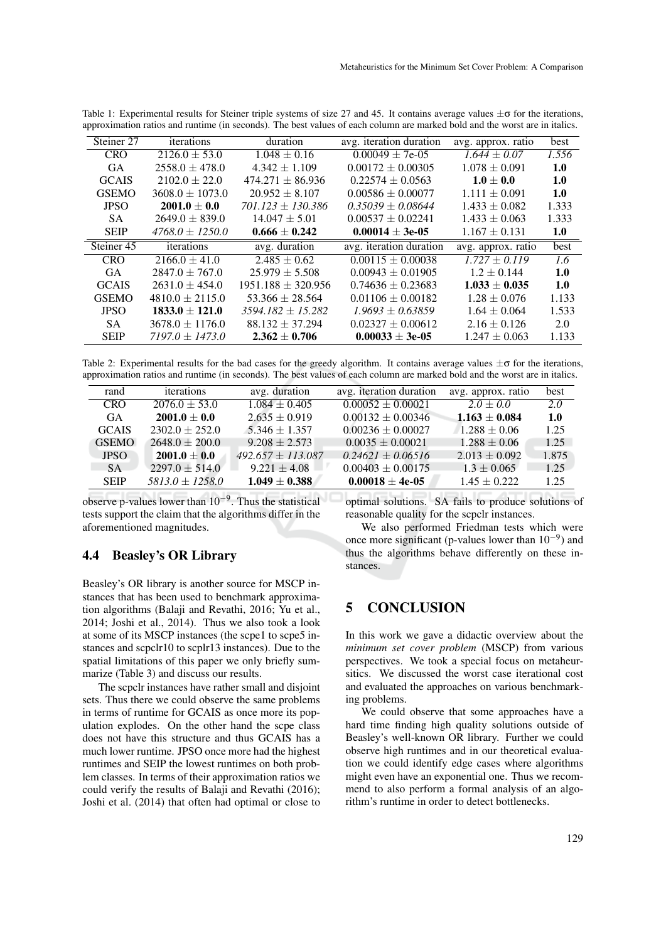| Steiner 27   | iterations          | duration               | avg. iteration duration | avg. approx. ratio | best  |
|--------------|---------------------|------------------------|-------------------------|--------------------|-------|
| <b>CRO</b>   | $2126.0 \pm 53.0$   | $1.048 \pm 0.16$       | $0.00049 + 7e-05$       | $1.644 \pm 0.07$   | 1.556 |
| <b>GA</b>    | $2558.0 \pm 478.0$  | $4.342 \pm 1.109$      | $0.00172 + 0.00305$     | $1.078 \pm 0.091$  | 1.0   |
| <b>GCAIS</b> | $2102.0 \pm 22.0$   | $474.271 \pm 86.936$   | $0.22574 + 0.0563$      | $1.0 \pm 0.0$      | 1.0   |
| <b>GSEMO</b> | $3608.0 \pm 1073.0$ | $20.952 \pm 8.107$     | $0.00586 \pm 0.00077$   | $1.111 \pm 0.091$  | 1.0   |
| <b>JPSO</b>  | $2001.0 \pm 0.0$    | $701.123 + 130.386$    | $0.35039 + 0.08644$     | $1.433 \pm 0.082$  | 1.333 |
| SA           | $2649.0 \pm 839.0$  | $14.047 \pm 5.01$      | $0.00537 \pm 0.02241$   | $1.433 \pm 0.063$  | 1.333 |
| <b>SEIP</b>  | $4768.0 + 1250.0$   | $0.666 \pm 0.242$      | $0.00014 \pm 3e-05$     | $1.167 \pm 0.131$  | 1.0   |
| Steiner 45   | iterations          | avg. duration          | avg. iteration duration | avg. approx. ratio | best  |
| <b>CRO</b>   | $2166.0 \pm 41.0$   | $2.485 \pm 0.62$       | $0.00115 \pm 0.00038$   | $1.727 \pm 0.119$  | 1.6   |
| <b>GA</b>    | $2847.0 \pm 767.0$  | $25.979 + 5.508$       | $0.00943 \pm 0.01905$   | $1.2 \pm 0.144$    | 1.0   |
| <b>GCAIS</b> | $2631.0 \pm 454.0$  | $1951.188 \pm 320.956$ | $0.74636 \pm 0.23683$   | $1.033 \pm 0.035$  | 1.0   |
| <b>GSEMO</b> | $4810.0 \pm 2115.0$ | $53.366 + 28.564$      | $0.01106 \pm 0.00182$   | $1.28 \pm 0.076$   | 1.133 |
| <b>JPSO</b>  | $1833.0 \pm 121.0$  | $3594.182 + 15.282$    | $1.9693 \pm 0.63859$    | $1.64 \pm 0.064$   | 1.533 |
| <b>SA</b>    | $3678.0 \pm 1176.0$ | $88.132 + 37.294$      | $0.02327 \pm 0.00612$   | $2.16 \pm 0.126$   | 2.0   |
| <b>SEIP</b>  | $7197.0 + 1473.0$   | $2.362 \pm 0.706$      | $0.00033 \pm 3e-05$     | $1.247 \pm 0.063$  | 1.133 |
|              |                     |                        |                         |                    |       |

Table 1: Experimental results for Steiner triple systems of size 27 and 45. It contains average values  $\pm \sigma$  for the iterations, approximation ratios and runtime (in seconds). The best values of each column are marked bold and the worst are in italics.

Table 2: Experimental results for the bad cases for the greedy algorithm. It contains average values  $\pm \sigma$  for the iterations, approximation ratios and runtime (in seconds). The best values of each column are marked bold and the worst are in italics.

| rand         | iterations         | avg. duration       | avg. iteration duration | avg. approx. ratio | best  |
|--------------|--------------------|---------------------|-------------------------|--------------------|-------|
| <b>CRO</b>   | $2076.0 \pm 53.0$  | $1.084 \pm 0.405$   | $0.00052 \pm 0.00021$   | $2.0 \pm 0.0$      | 2.0   |
| GA           | $2001.0 \pm 0.0$   | $2.635 \pm 0.919$   | $0.00132 \pm 0.00346$   | $1.163 \pm 0.084$  | 1.0   |
| <b>GCAIS</b> | $2302.0 \pm 252.0$ | $5.346 + 1.357$     | $0.00236 \pm 0.00027$   | $1.288 \pm 0.06$   | 1.25  |
| <b>GSEMO</b> | $2648.0 + 200.0$   | $9.208 + 2.573$     | $0.0035 \pm 0.00021$    | $1.288 \pm 0.06$   | 1.25  |
| <b>JPSO</b>  | $2001.0 \pm 0.0$   | $492.657 + 113.087$ | $0.24621 + 0.06516$     | $2.013 + 0.092$    | 1.875 |
| SA.          | $2297.0 \pm 514.0$ | $9.221 + 4.08$      | $0.00403 + 0.00175$     | $1.3 \pm 0.065$    | 1.25  |
| <b>SEIP</b>  | $5813.0 + 1258.0$  | $1.049 \pm 0.388$   | $0.00018 \pm 4e-05$     | $1.45 \pm 0.222$   | 1.25  |

observe p-values lower than  $10^{-9}$ . Thus the statistical tests support the claim that the algorithms differ in the aforementioned magnitudes.

### 4.4 Beasley's OR Library

Beasley's OR library is another source for MSCP instances that has been used to benchmark approximation algorithms (Balaji and Revathi, 2016; Yu et al., 2014; Joshi et al., 2014). Thus we also took a look at some of its MSCP instances (the scpe1 to scpe5 instances and scpclr10 to scplr13 instances). Due to the spatial limitations of this paper we only briefly summarize (Table 3) and discuss our results.

The scpclr instances have rather small and disjoint sets. Thus there we could observe the same problems in terms of runtime for GCAIS as once more its population explodes. On the other hand the scpe class does not have this structure and thus GCAIS has a much lower runtime. JPSO once more had the highest runtimes and SEIP the lowest runtimes on both problem classes. In terms of their approximation ratios we could verify the results of Balaji and Revathi (2016); Joshi et al. (2014) that often had optimal or close to

optimal solutions. SA fails to produce solutions of reasonable quality for the scpclr instances.

We also performed Friedman tests which were once more significant (p-values lower than  $10^{-9}$ ) and thus the algorithms behave differently on these instances.

# 5 CONCLUSION

In this work we gave a didactic overview about the *minimum set cover problem* (MSCP) from various perspectives. We took a special focus on metaheursitics. We discussed the worst case iterational cost and evaluated the approaches on various benchmarking problems.

We could observe that some approaches have a hard time finding high quality solutions outside of Beasley's well-known OR library. Further we could observe high runtimes and in our theoretical evaluation we could identify edge cases where algorithms might even have an exponential one. Thus we recommend to also perform a formal analysis of an algorithm's runtime in order to detect bottlenecks.